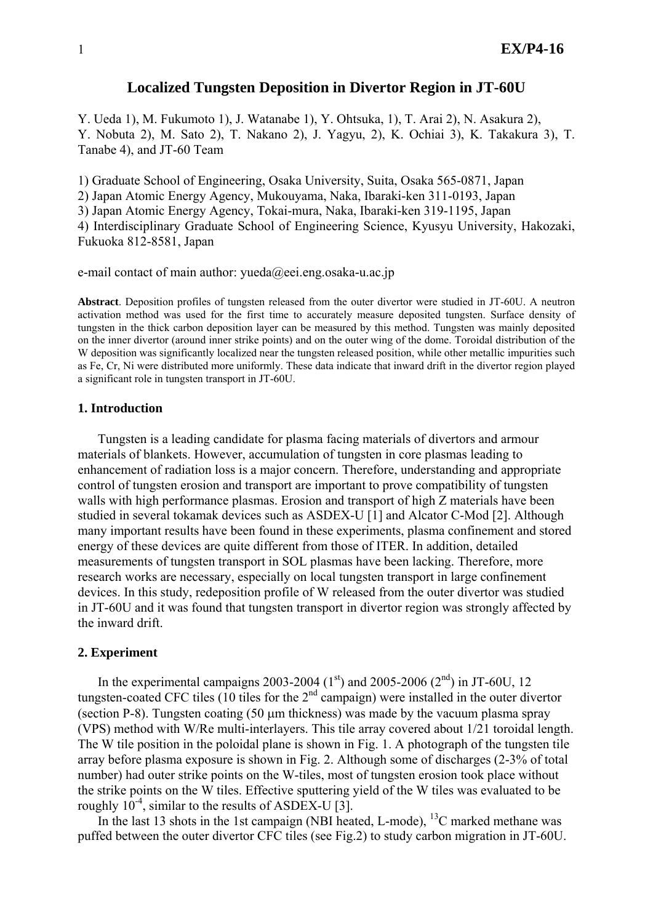## **Localized Tungsten Deposition in Divertor Region in JT-60U**

Y. Ueda 1), M. Fukumoto 1), J. Watanabe 1), Y. Ohtsuka, 1), T. Arai 2), N. Asakura 2), Y. Nobuta 2), M. Sato 2), T. Nakano 2), J. Yagyu, 2), K. Ochiai 3), K. Takakura 3), T. Tanabe 4), and JT-60 Team

1) Graduate School of Engineering, Osaka University, Suita, Osaka 565-0871, Japan 2) Japan Atomic Energy Agency, Mukouyama, Naka, Ibaraki-ken 311-0193, Japan 3) Japan Atomic Energy Agency, Tokai-mura, Naka, Ibaraki-ken 319-1195, Japan 4) Interdisciplinary Graduate School of Engineering Science, Kyusyu University, Hakozaki, Fukuoka 812-8581, Japan

e-mail contact of main author: yueda@eei.eng.osaka-u.ac.jp

**Abstract**. Deposition profiles of tungsten released from the outer divertor were studied in JT-60U. A neutron activation method was used for the first time to accurately measure deposited tungsten. Surface density of tungsten in the thick carbon deposition layer can be measured by this method. Tungsten was mainly deposited on the inner divertor (around inner strike points) and on the outer wing of the dome. Toroidal distribution of the W deposition was significantly localized near the tungsten released position, while other metallic impurities such as Fe, Cr, Ni were distributed more uniformly. These data indicate that inward drift in the divertor region played a significant role in tungsten transport in JT-60U.

#### **1. Introduction**

Tungsten is a leading candidate for plasma facing materials of divertors and armour materials of blankets. However, accumulation of tungsten in core plasmas leading to enhancement of radiation loss is a major concern. Therefore, understanding and appropriate control of tungsten erosion and transport are important to prove compatibility of tungsten walls with high performance plasmas. Erosion and transport of high Z materials have been studied in several tokamak devices such as ASDEX-U [1] and Alcator C-Mod [2]. Although many important results have been found in these experiments, plasma confinement and stored energy of these devices are quite different from those of ITER. In addition, detailed measurements of tungsten transport in SOL plasmas have been lacking. Therefore, more research works are necessary, especially on local tungsten transport in large confinement devices. In this study, redeposition profile of W released from the outer divertor was studied in JT-60U and it was found that tungsten transport in divertor region was strongly affected by the inward drift.

## **2. Experiment**

In the experimental campaigns 2003-2004 (1<sup>st</sup>) and 2005-2006 (2<sup>nd</sup>) in JT-60U, 12 tungsten-coated CFC tiles (10 tiles for the  $2<sup>nd</sup>$  campaign) were installed in the outer divertor (section P-8). Tungsten coating (50 μm thickness) was made by the vacuum plasma spray (VPS) method with W/Re multi-interlayers. This tile array covered about 1/21 toroidal length. The W tile position in the poloidal plane is shown in Fig. 1. A photograph of the tungsten tile array before plasma exposure is shown in Fig. 2. Although some of discharges (2-3% of total number) had outer strike points on the W-tiles, most of tungsten erosion took place without the strike points on the W tiles. Effective sputtering yield of the W tiles was evaluated to be roughly  $10^{-4}$ , similar to the results of ASDEX-U [3].

In the last 13 shots in the 1st campaign (NBI heated, L-mode), <sup>13</sup>C marked methane was puffed between the outer divertor CFC tiles (see Fig.2) to study carbon migration in JT-60U.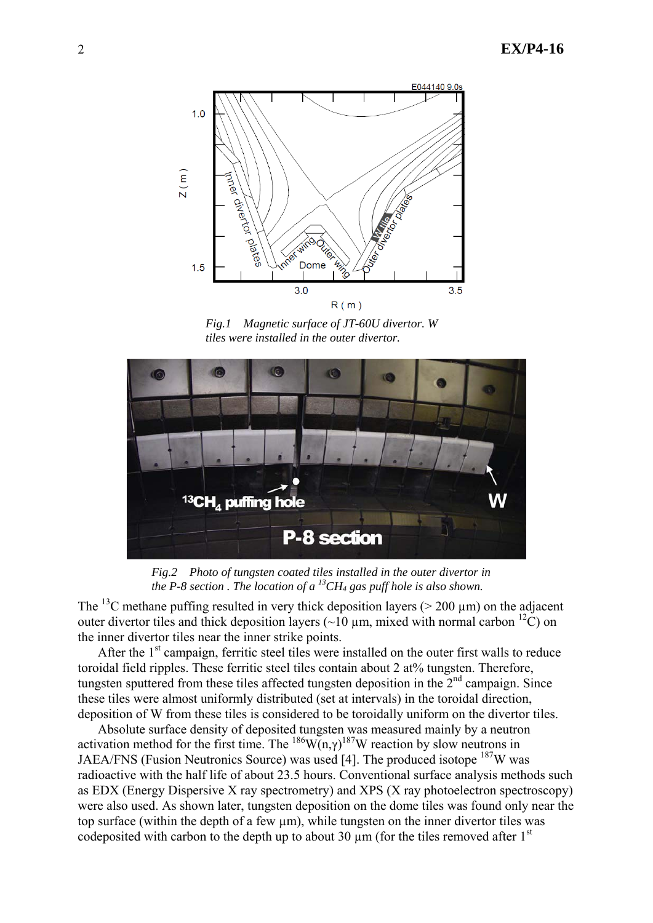

*Fig.1 Magnetic surface of JT-60U divertor. W tiles were installed in the outer divertor.* 



*Fig.2 Photo of tungsten coated tiles installed in the outer divertor in the P-8 section. The location of a*  $^{13}CH_4$  gas puff hole is also shown.

The <sup>13</sup>C methane puffing resulted in very thick deposition layers ( $>$  200 µm) on the adjacent outer divertor tiles and thick deposition layers ( $\sim$ 10  $\mu$ m, mixed with normal carbon <sup>12</sup>C) on the inner divertor tiles near the inner strike points.

After the  $1<sup>st</sup>$  campaign, ferritic steel tiles were installed on the outer first walls to reduce toroidal field ripples. These ferritic steel tiles contain about 2 at% tungsten. Therefore, tungsten sputtered from these tiles affected tungsten deposition in the  $2<sup>nd</sup>$  campaign. Since these tiles were almost uniformly distributed (set at intervals) in the toroidal direction, deposition of W from these tiles is considered to be toroidally uniform on the divertor tiles.

Absolute surface density of deposited tungsten was measured mainly by a neutron activation method for the first time. The  $^{186}W(n,\gamma)^{187}W$  reaction by slow neutrons in JAEA/FNS (Fusion Neutronics Source) was used [4]. The produced isotope 187W was radioactive with the half life of about 23.5 hours. Conventional surface analysis methods such as EDX (Energy Dispersive X ray spectrometry) and XPS (X ray photoelectron spectroscopy) were also used. As shown later, tungsten deposition on the dome tiles was found only near the top surface (within the depth of a few  $\mu$ m), while tungsten on the inner divertor tiles was codeposited with carbon to the depth up to about 30  $\mu$ m (for the tiles removed after 1<sup>st</sup>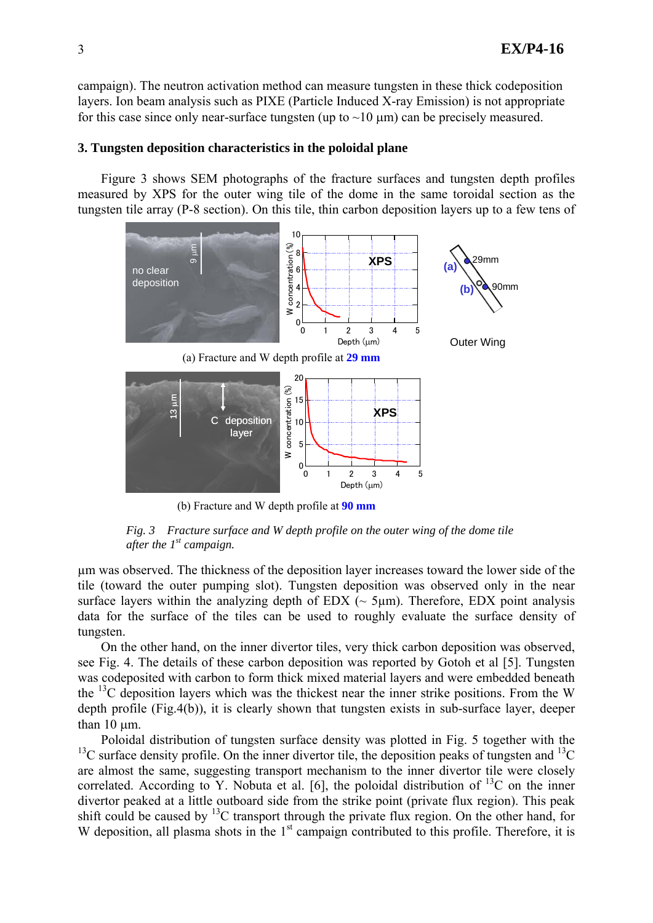campaign). The neutron activation method can measure tungsten in these thick codeposition layers. Ion beam analysis such as PIXE (Particle Induced X-ray Emission) is not appropriate for this case since only near-surface tungsten (up to  $\sim$ 10  $\mu$ m) can be precisely measured.

## **3. Tungsten deposition characteristics in the poloidal plane**

Figure 3 shows SEM photographs of the fracture surfaces and tungsten depth profiles measured by XPS for the outer wing tile of the dome in the same toroidal section as the tungsten tile array (P-8 section). On this tile, thin carbon deposition layers up to a few tens of



(b) Fracture and W depth profile at **90 mm**

*Fig. 3 Fracture surface and W depth profile on the outer wing of the dome tile after the 1st campaign.*

µm was observed. The thickness of the deposition layer increases toward the lower side of the tile (toward the outer pumping slot). Tungsten deposition was observed only in the near surface layers within the analyzing depth of  $EDX$  ( $\sim$  5 $\mu$ m). Therefore,  $EDX$  point analysis data for the surface of the tiles can be used to roughly evaluate the surface density of tungsten.

On the other hand, on the inner divertor tiles, very thick carbon deposition was observed, see Fig. 4. The details of these carbon deposition was reported by Gotoh et al [5]. Tungsten was codeposited with carbon to form thick mixed material layers and were embedded beneath the  $^{13}$ C deposition layers which was the thickest near the inner strike positions. From the W depth profile (Fig.4(b)), it is clearly shown that tungsten exists in sub-surface layer, deeper than  $10 \mu m$ .

Poloidal distribution of tungsten surface density was plotted in Fig. 5 together with the <sup>13</sup>C surface density profile. On the inner divertor tile, the deposition peaks of tungsten and <sup>13</sup>C are almost the same, suggesting transport mechanism to the inner divertor tile were closely correlated. According to Y. Nobuta et al. [6], the poloidal distribution of  $^{13}$ C on the inner divertor peaked at a little outboard side from the strike point (private flux region). This peak shift could be caused by  $^{13}$ C transport through the private flux region. On the other hand, for W deposition, all plasma shots in the 1<sup>st</sup> campaign contributed to this profile. Therefore, it is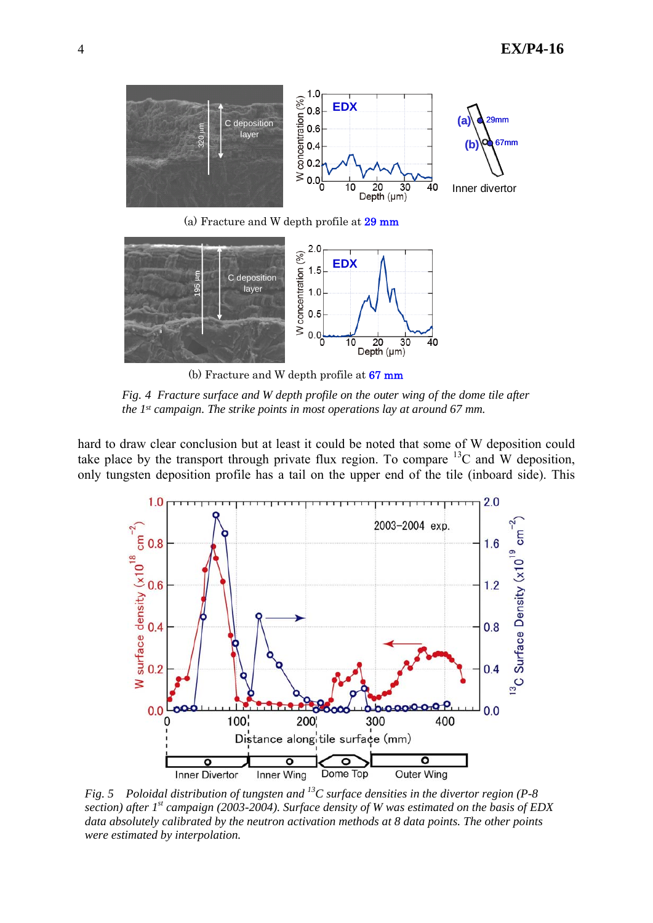

(b) Fracture and W depth profile at 67 mm

*Fig. 4 Fracture surface and W depth profile on the outer wing of the dome tile after the 1st campaign. The strike points in most operations lay at around 67 mm.* 

hard to draw clear conclusion but at least it could be noted that some of W deposition could take place by the transport through private flux region. To compare  $^{13}$ C and W deposition, only tungsten deposition profile has a tail on the upper end of the tile (inboard side). This



*Fig. 5 Poloidal distribution of tungsten and 13C surface densities in the divertor region (P-8 section) after 1st campaign (2003-2004). Surface density of W was estimated on the basis of EDX data absolutely calibrated by the neutron activation methods at 8 data points. The other points were estimated by interpolation.*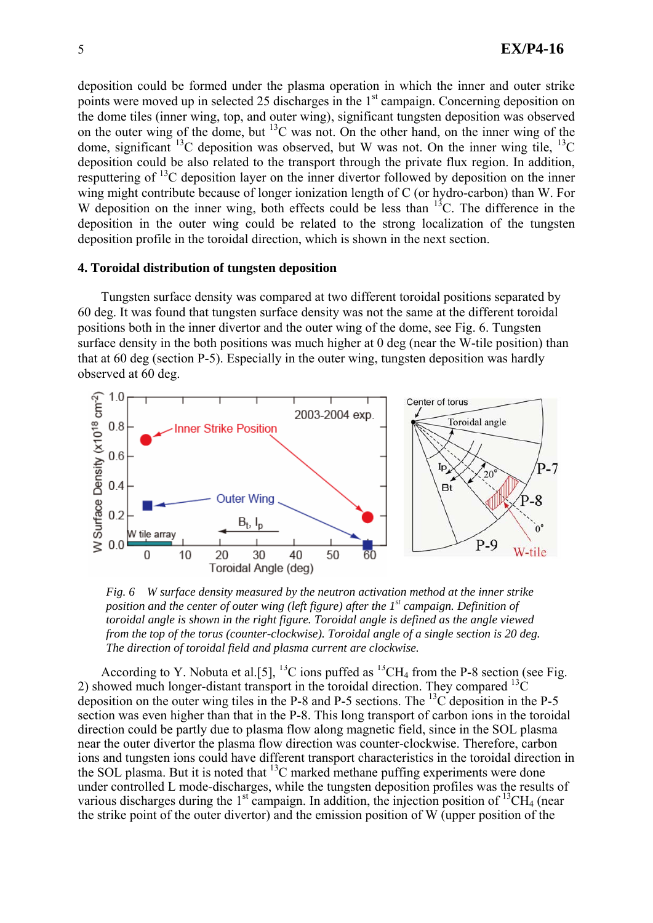deposition could be formed under the plasma operation in which the inner and outer strike points were moved up in selected 25 discharges in the  $1<sup>st</sup>$  campaign. Concerning deposition on the dome tiles (inner wing, top, and outer wing), significant tungsten deposition was observed on the outer wing of the dome, but  $^{13}$ C was not. On the other hand, on the inner wing of the dome, significant  $^{13}$ C deposition was observed, but W was not. On the inner wing tile,  $^{13}$ C deposition could be also related to the transport through the private flux region. In addition, resputtering of  $^{13}$ C deposition layer on the inner divertor followed by deposition on the inner wing might contribute because of longer ionization length of C (or hydro-carbon) than W. For W deposition on the inner wing, both effects could be less than  $^{13}$ C. The difference in the deposition in the outer wing could be related to the strong localization of the tungsten deposition profile in the toroidal direction, which is shown in the next section.

#### **4. Toroidal distribution of tungsten deposition**

Tungsten surface density was compared at two different toroidal positions separated by 60 deg. It was found that tungsten surface density was not the same at the different toroidal positions both in the inner divertor and the outer wing of the dome, see Fig. 6. Tungsten surface density in the both positions was much higher at 0 deg (near the W-tile position) than that at 60 deg (section P-5). Especially in the outer wing, tungsten deposition was hardly observed at 60 deg.



*Fig. 6 W surface density measured by the neutron activation method at the inner strike position and the center of outer wing (left figure) after the 1st campaign. Definition of toroidal angle is shown in the right figure. Toroidal angle is defined as the angle viewed from the top of the torus (counter-clockwise). Toroidal angle of a single section is 20 deg. The direction of toroidal field and plasma current are clockwise.*

According to Y. Nobuta et al. [5], <sup>13</sup>C ions puffed as <sup>13</sup>CH<sub>4</sub> from the P-8 section (see Fig. 2) showed much longer-distant transport in the toroidal direction. They compared  $^{13}$ C deposition on the outer wing tiles in the P-8 and P-5 sections. The  $^{13}$ C deposition in the P-5 section was even higher than that in the P-8. This long transport of carbon ions in the toroidal direction could be partly due to plasma flow along magnetic field, since in the SOL plasma near the outer divertor the plasma flow direction was counter-clockwise. Therefore, carbon ions and tungsten ions could have different transport characteristics in the toroidal direction in the SOL plasma. But it is noted that  ${}^{13}$ C marked methane puffing experiments were done under controlled L mode-discharges, while the tungsten deposition profiles was the results of various discharges during the  $1<sup>st</sup>$  campaign. In addition, the injection position of  $<sup>13</sup>CH<sub>4</sub>$  (near</sup> the strike point of the outer divertor) and the emission position of W (upper position of the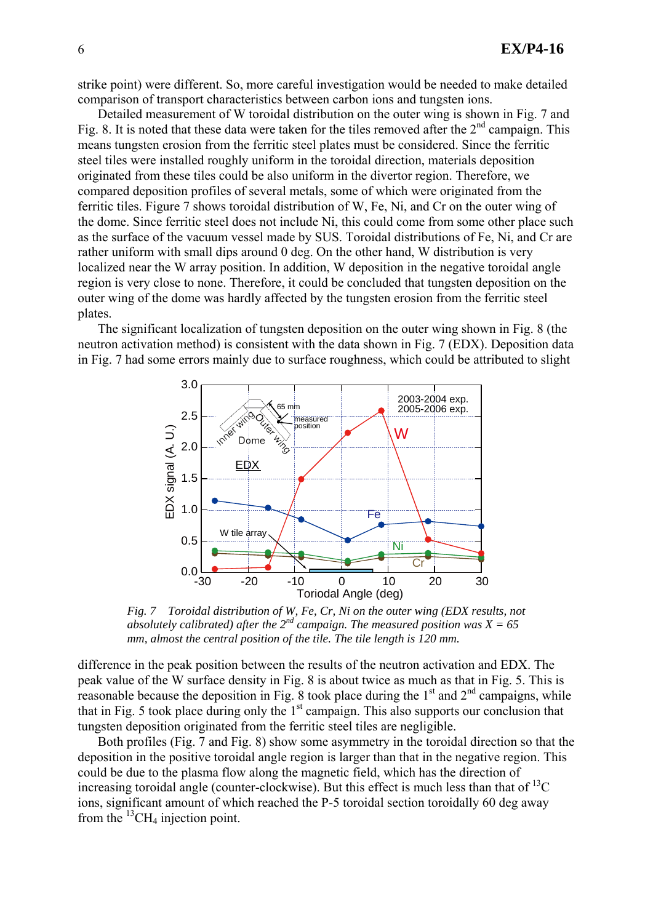strike point) were different. So, more careful investigation would be needed to make detailed comparison of transport characteristics between carbon ions and tungsten ions.

Detailed measurement of W toroidal distribution on the outer wing is shown in Fig. 7 and Fig. 8. It is noted that these data were taken for the tiles removed after the  $2<sup>nd</sup>$  campaign. This means tungsten erosion from the ferritic steel plates must be considered. Since the ferritic steel tiles were installed roughly uniform in the toroidal direction, materials deposition originated from these tiles could be also uniform in the divertor region. Therefore, we compared deposition profiles of several metals, some of which were originated from the ferritic tiles. Figure 7 shows toroidal distribution of W, Fe, Ni, and Cr on the outer wing of the dome. Since ferritic steel does not include Ni, this could come from some other place such as the surface of the vacuum vessel made by SUS. Toroidal distributions of Fe, Ni, and Cr are rather uniform with small dips around 0 deg. On the other hand, W distribution is very localized near the W array position. In addition, W deposition in the negative toroidal angle region is very close to none. Therefore, it could be concluded that tungsten deposition on the outer wing of the dome was hardly affected by the tungsten erosion from the ferritic steel plates.

The significant localization of tungsten deposition on the outer wing shown in Fig. 8 (the neutron activation method) is consistent with the data shown in Fig. 7 (EDX). Deposition data in Fig. 7 had some errors mainly due to surface roughness, which could be attributed to slight



*Fig. 7 Toroidal distribution of W, Fe, Cr, Ni on the outer wing (EDX results, not absolutely calibrated) after the 2nd campaign. The measured position was X = 65 mm, almost the central position of the tile. The tile length is 120 mm.* 

difference in the peak position between the results of the neutron activation and EDX. The peak value of the W surface density in Fig. 8 is about twice as much as that in Fig. 5. This is reasonable because the deposition in Fig.  $\overline{8}$  took place during the 1<sup>st</sup> and 2<sup>nd</sup> campaigns, while that in Fig. 5 took place during only the  $1<sup>st</sup>$  campaign. This also supports our conclusion that tungsten deposition originated from the ferritic steel tiles are negligible.

Both profiles (Fig. 7 and Fig. 8) show some asymmetry in the toroidal direction so that the deposition in the positive toroidal angle region is larger than that in the negative region. This could be due to the plasma flow along the magnetic field, which has the direction of increasing toroidal angle (counter-clockwise). But this effect is much less than that of  ${}^{13}C$ ions, significant amount of which reached the P-5 toroidal section toroidally 60 deg away from the  ${}^{13}CH_4$  injection point.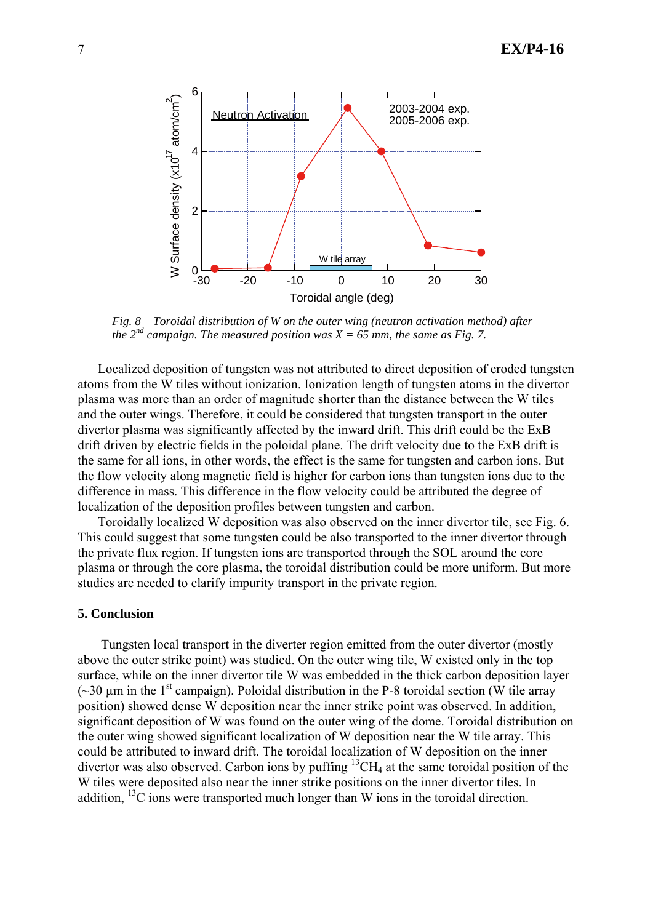

*Fig. 8 Toroidal distribution of W on the outer wing (neutron activation method) after the*  $2^{nd}$  campaign. The measured position was  $X = 65$  mm, the same as Fig. 7.

Localized deposition of tungsten was not attributed to direct deposition of eroded tungsten atoms from the W tiles without ionization. Ionization length of tungsten atoms in the divertor plasma was more than an order of magnitude shorter than the distance between the W tiles and the outer wings. Therefore, it could be considered that tungsten transport in the outer divertor plasma was significantly affected by the inward drift. This drift could be the ExB drift driven by electric fields in the poloidal plane. The drift velocity due to the ExB drift is the same for all ions, in other words, the effect is the same for tungsten and carbon ions. But the flow velocity along magnetic field is higher for carbon ions than tungsten ions due to the difference in mass. This difference in the flow velocity could be attributed the degree of localization of the deposition profiles between tungsten and carbon.

Toroidally localized W deposition was also observed on the inner divertor tile, see Fig. 6. This could suggest that some tungsten could be also transported to the inner divertor through the private flux region. If tungsten ions are transported through the SOL around the core plasma or through the core plasma, the toroidal distribution could be more uniform. But more studies are needed to clarify impurity transport in the private region.

## **5. Conclusion**

Tungsten local transport in the diverter region emitted from the outer divertor (mostly above the outer strike point) was studied. On the outer wing tile, W existed only in the top surface, while on the inner divertor tile W was embedded in the thick carbon deposition layer ( $\sim$ 30  $\mu$ m in the 1<sup>st</sup> campaign). Poloidal distribution in the P-8 toroidal section (W tile array position) showed dense W deposition near the inner strike point was observed. In addition, significant deposition of W was found on the outer wing of the dome. Toroidal distribution on the outer wing showed significant localization of W deposition near the W tile array. This could be attributed to inward drift. The toroidal localization of W deposition on the inner divertor was also observed. Carbon ions by puffing  ${}^{13}CH_4$  at the same toroidal position of the W tiles were deposited also near the inner strike positions on the inner divertor tiles. In addition,  $^{13}$ C ions were transported much longer than W ions in the toroidal direction.